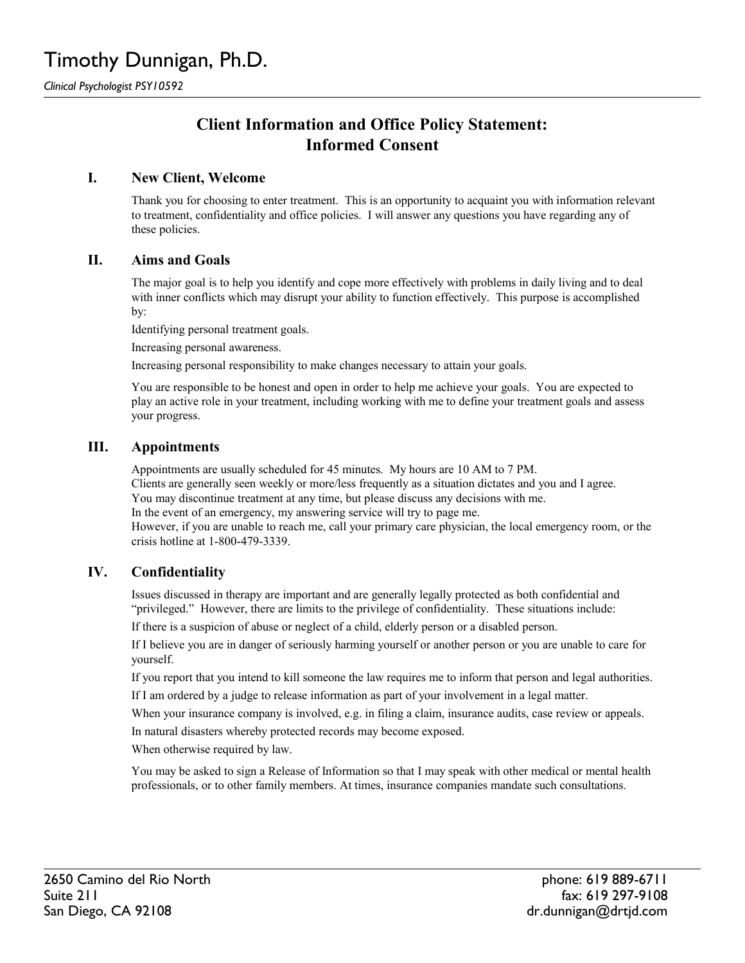*Clinical Psychologist PSY10592*

# **Client Information and Office Policy Statement: Informed Consent**

# **I. New Client, Welcome**

Thank you for choosing to enter treatment. This is an opportunity to acquaint you with information relevant to treatment, confidentiality and office policies. I will answer any questions you have regarding any of these policies.

#### **II. Aims and Goals**

The major goal is to help you identify and cope more effectively with problems in daily living and to deal with inner conflicts which may disrupt your ability to function effectively. This purpose is accomplished by:

Identifying personal treatment goals.

Increasing personal awareness.

Increasing personal responsibility to make changes necessary to attain your goals.

You are responsible to be honest and open in order to help me achieve your goals. You are expected to play an active role in your treatment, including working with me to define your treatment goals and assess your progress.

#### **III. Appointments**

Appointments are usually scheduled for 45 minutes. My hours are 10 AM to 7 PM.

Clients are generally seen weekly or more/less frequently as a situation dictates and you and I agree.

You may discontinue treatment at any time, but please discuss any decisions with me.

In the event of an emergency, my answering service will try to page me.

However, if you are unable to reach me, call your primary care physician, the local emergency room, or the crisis hotline at 1-800-479-3339.

# **IV. Confidentiality**

Issues discussed in therapy are important and are generally legally protected as both confidential and "privileged." However, there are limits to the privilege of confidentiality. These situations include:

If there is a suspicion of abuse or neglect of a child, elderly person or a disabled person.

If I believe you are in danger of seriously harming yourself or another person or you are unable to care for yourself.

If you report that you intend to kill someone the law requires me to inform that person and legal authorities.

If I am ordered by a judge to release information as part of your involvement in a legal matter.

When your insurance company is involved, e.g. in filing a claim, insurance audits, case review or appeals.

In natural disasters whereby protected records may become exposed.

When otherwise required by law.

You may be asked to sign a Release of Information so that I may speak with other medical or mental health professionals, or to other family members. At times, insurance companies mandate such consultations.